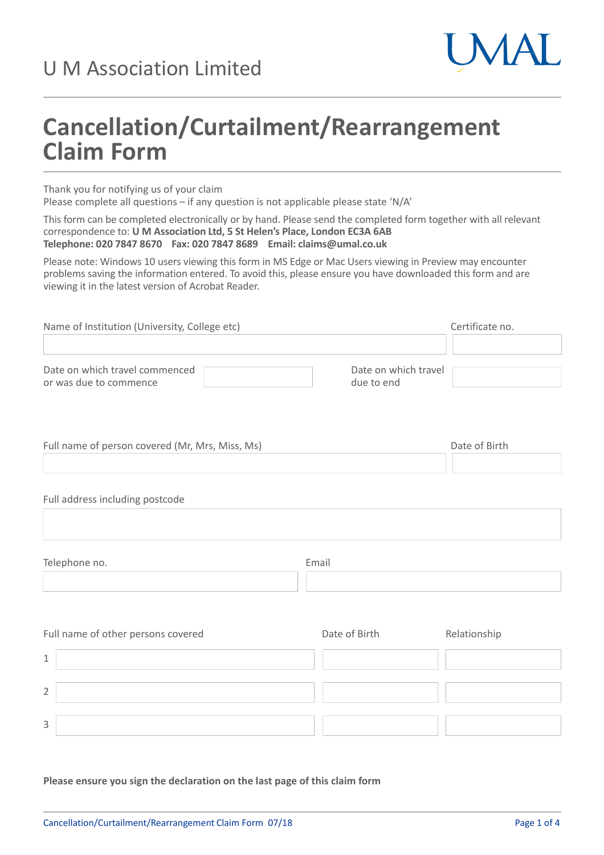

# **Cancellation/Curtailment/Rearrangement Claim Form**

Thank you for notifying us of your claim

Please complete all questions – if any question is not applicable please state 'N/A'

This form can be completed electronically or by hand. Please send the completed form together with all relevant correspondence to: **U M Association Ltd, 5 St Helen's Place, London EC3A 6AB Telephone: 020 7847 8670 Fax: 020 7847 8689 Email: claims@umal.co.uk**

Please note: Windows 10 users viewing this form in MS Edge or Mac Users viewing in Preview may encounter problems saving the information entered. To avoid this, please ensure you have downloaded this form and are viewing it in the latest version of Acrobat Reader.

| Name of Institution (University, College etc)            | Certificate no.                    |  |
|----------------------------------------------------------|------------------------------------|--|
|                                                          |                                    |  |
| Date on which travel commenced<br>or was due to commence | Date on which travel<br>due to end |  |

| Full name of person covered (Mr, Mrs, Miss, Ms) | Date of Birth |
|-------------------------------------------------|---------------|
|                                                 |               |

| Full address including postcode |       |  |
|---------------------------------|-------|--|
|                                 |       |  |
|                                 |       |  |
| Telephone no.                   | Email |  |

Full name of other persons covered Date of Birth Relationship 1 2 3

**Please ensure you sign the declaration on the last page of this claim form**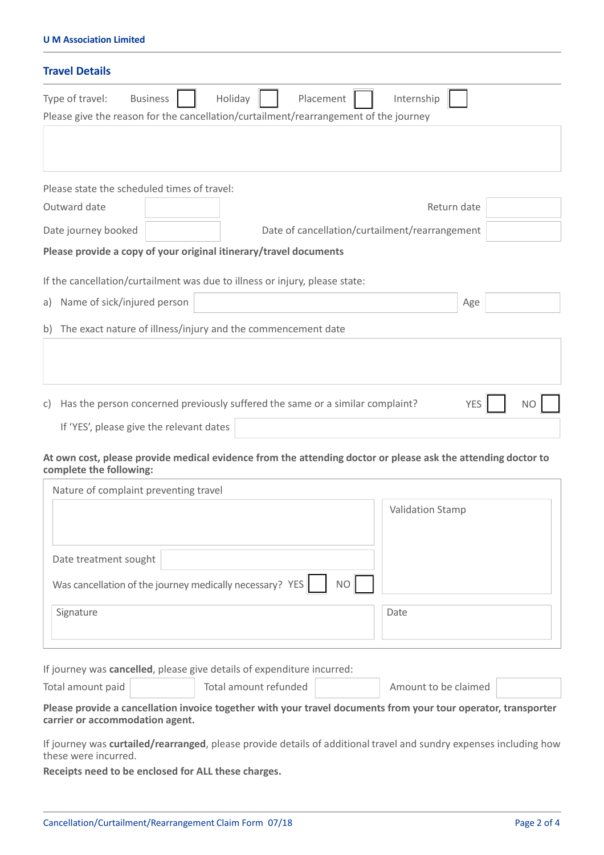#### **U M Association Limited**

| <b>Travel Details</b>                       |                                                |                                                                                      |            |    |
|---------------------------------------------|------------------------------------------------|--------------------------------------------------------------------------------------|------------|----|
| <b>Business</b><br>Type of travel:          |                                                | Placement<br>Internship<br>Holiday                                                   |            |    |
|                                             |                                                | Please give the reason for the cancellation/curtailment/rearrangement of the journey |            |    |
|                                             |                                                |                                                                                      |            |    |
|                                             |                                                |                                                                                      |            |    |
|                                             |                                                |                                                                                      |            |    |
| Please state the scheduled times of travel: |                                                |                                                                                      |            |    |
| Outward date                                |                                                | Return date                                                                          |            |    |
| Date journey booked                         | Date of cancellation/curtailment/rearrangement |                                                                                      |            |    |
|                                             |                                                | Please provide a copy of your original itinerary/travel documents                    |            |    |
|                                             |                                                |                                                                                      |            |    |
|                                             |                                                | If the cancellation/curtailment was due to illness or injury, please state:          |            |    |
| Name of sick/injured person<br>a)           |                                                |                                                                                      | Age        |    |
| b)                                          |                                                | The exact nature of illness/injury and the commencement date                         |            |    |
|                                             |                                                |                                                                                      |            |    |
|                                             |                                                |                                                                                      |            |    |
|                                             |                                                |                                                                                      |            |    |
| C)                                          |                                                | Has the person concerned previously suffered the same or a similar complaint?        | <b>YES</b> | NO |
|                                             |                                                |                                                                                      |            |    |
| If 'YES', please give the relevant dates    |                                                |                                                                                      |            |    |

#### At own cost, please provide medical evidence from the attending doctor or please ask the attending doctor to **complete the following:**

| Nature of complaint preventing travel                                    |                         |
|--------------------------------------------------------------------------|-------------------------|
|                                                                          | <b>Validation Stamp</b> |
|                                                                          |                         |
|                                                                          |                         |
| Date treatment sought                                                    |                         |
| Was cancellation of the journey medically necessary? YES<br>NO <b>NO</b> |                         |
| Signature                                                                | Date                    |
|                                                                          |                         |

If journey was **cancelled**, please give details of expenditure incurred:

Total amount paid **Total amount refunded COLLEGY Amount to be claimed** 

**Please provide a cancellation invoice together with your travel documents from your tour operator, transporter carrier or accommodation agent.**

If journey was **curtailed/rearranged**, please provide details of additional travel and sundry expenses including how these were incurred.

**Receipts need to be enclosed for ALL these charges.**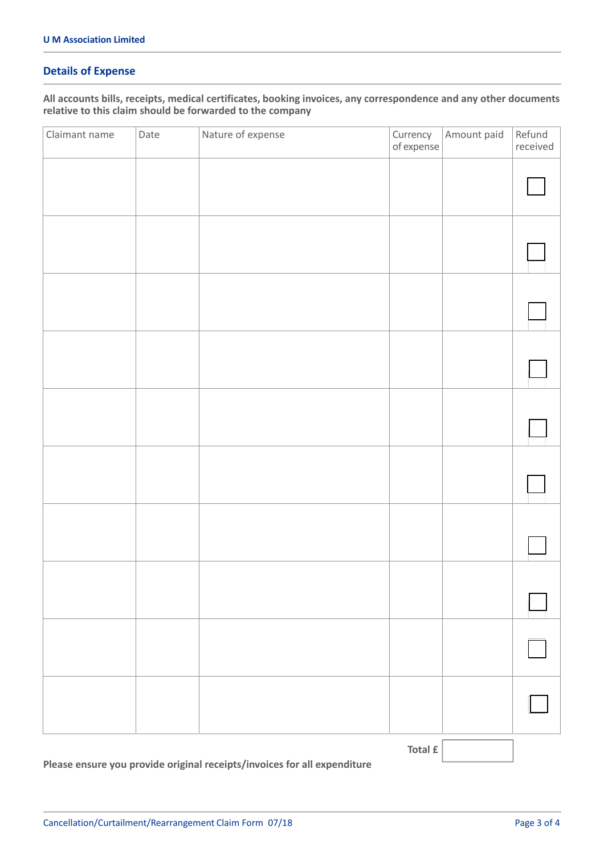#### **Details of Expense**

**All accounts bills, receipts, medical certificates, booking invoices, any correspondence and any other documents relative to this claim should be forwarded to the company**

| Claimant name | Date | Nature of expense | Currency<br>of expense | Amount paid | Refund<br>received |
|---------------|------|-------------------|------------------------|-------------|--------------------|
|               |      |                   |                        |             |                    |
|               |      |                   |                        |             |                    |
|               |      |                   |                        |             |                    |
|               |      |                   |                        |             |                    |
|               |      |                   |                        |             |                    |
|               |      |                   |                        |             |                    |
|               |      |                   |                        |             |                    |
|               |      |                   |                        |             |                    |
|               |      |                   |                        |             |                    |
|               |      |                   |                        |             |                    |
|               |      |                   |                        |             |                    |
|               |      |                   |                        |             |                    |
|               |      |                   | Total £                |             |                    |

**Please ensure you provide original receipts/invoices for all expenditure**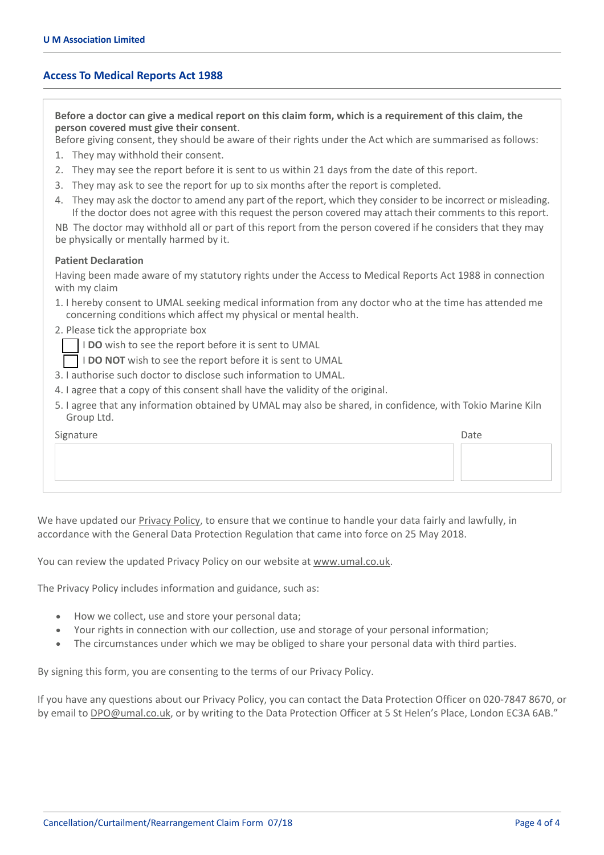### **Access To Medical Reports Act 1988**

Before a doctor can give a medical report on this claim form, which is a requirement of this claim, the **person covered must give their consent**.

Before giving consent, they should be aware of their rights under the Act which are summarised as follows:

- 1. They may withhold their consent.
- 2. They may see the report before it is sent to us within 21 days from the date of this report.
- 3. They may ask to see the report for up to six months after the report is completed.
- 4. They may ask the doctor to amend any part of the report, which they consider to be incorrect or misleading. If the doctor does not agree with this request the person covered may attach their comments to this report.

NB The doctor may withhold all or part of this report from the person covered if he considers that they may be physically or mentally harmed by it.

#### **Patient Declaration**

Having been made aware of my statutory rights under the Access to Medical Reports Act 1988 in connection with my claim

- 1. I hereby consent to UMAL seeking medical information from any doctor who at the time has attended me concerning conditions which affect my physical or mental health.
- 2. Please tick the appropriate box

I **DO** wish to see the report before it is sent to UMAL

I **DO NOT** wish to see the report before it is sent to UMAL

3. I authorise such doctor to disclose such information to UMAL.

4. I agree that a copy of this consent shall have the validity of the original.

5. I agree that any information obtained by UMAL may also be shared, in confidence, with Tokio Marine Kiln Group Ltd.

| Signature | Date |
|-----------|------|
|           |      |
|           |      |
|           |      |

We have updated our [Privacy](https://umal.co.uk/privacy-policy/) Policy, to ensure that we continue to handle your data fairly and lawfully, in accordance with the General Data Protection Regulation that came into force on 25 May 2018.

You can review the updated Privacy Policy on our website at www.umal.co.uk.

The Privacy Policy includes information and guidance, such as:

- How we collect, use and store your personal data;
- Your rights in connection with our collection, use and storage of your personal information;
- The circumstances under which we may be obliged to share your personal data with third parties.

By signing this form, you are consenting to the terms of our Privacy Policy.

If you have any questions about our Privacy Policy, you can contact the Data Protection Officer on 020‐7847 8670, or by email to DPO@umal.co.uk, or by writing to the Data Protection Officer at 5 St Helen's Place, London EC3A 6AB."